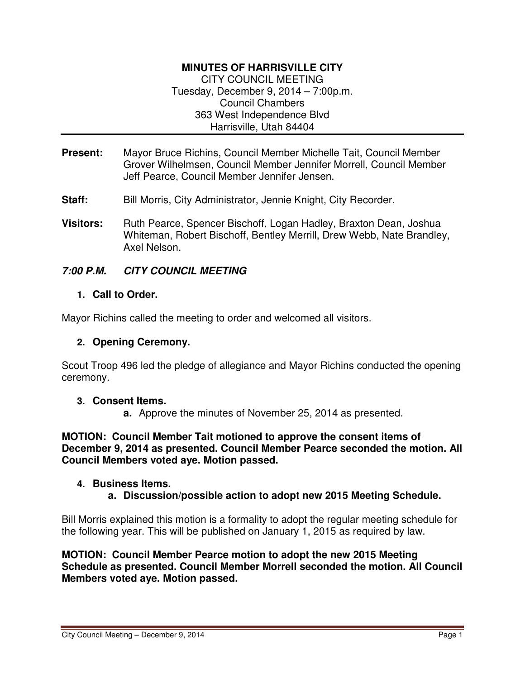# **MINUTES OF HARRISVILLE CITY**

CITY COUNCIL MEETING Tuesday, December 9, 2014 – 7:00p.m. Council Chambers 363 West Independence Blvd Harrisville, Utah 84404

- **Present:** Mayor Bruce Richins, Council Member Michelle Tait, Council Member Grover Wilhelmsen, Council Member Jennifer Morrell, Council Member Jeff Pearce, Council Member Jennifer Jensen.
- **Staff:** Bill Morris, City Administrator, Jennie Knight, City Recorder.
- **Visitors:** Ruth Pearce, Spencer Bischoff, Logan Hadley, Braxton Dean, Joshua Whiteman, Robert Bischoff, Bentley Merrill, Drew Webb, Nate Brandley, Axel Nelson.

# **7:00 P.M. CITY COUNCIL MEETING**

## **1. Call to Order.**

Mayor Richins called the meeting to order and welcomed all visitors.

# **2. Opening Ceremony.**

Scout Troop 496 led the pledge of allegiance and Mayor Richins conducted the opening ceremony.

## **3. Consent Items.**

**a.** Approve the minutes of November 25, 2014 as presented.

**MOTION: Council Member Tait motioned to approve the consent items of December 9, 2014 as presented. Council Member Pearce seconded the motion. All Council Members voted aye. Motion passed.** 

## **4. Business Items.**

**a. Discussion/possible action to adopt new 2015 Meeting Schedule.** 

Bill Morris explained this motion is a formality to adopt the regular meeting schedule for the following year. This will be published on January 1, 2015 as required by law.

## **MOTION: Council Member Pearce motion to adopt the new 2015 Meeting Schedule as presented. Council Member Morrell seconded the motion. All Council Members voted aye. Motion passed.**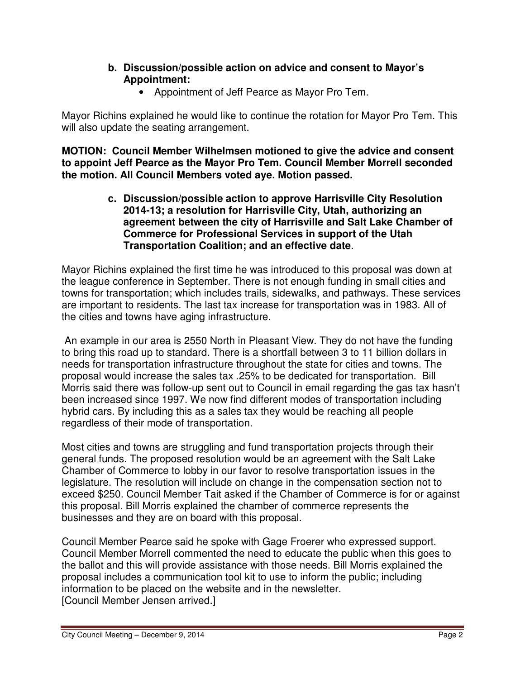# **b. Discussion/possible action on advice and consent to Mayor's Appointment:**

• Appointment of Jeff Pearce as Mayor Pro Tem.

Mayor Richins explained he would like to continue the rotation for Mayor Pro Tem. This will also update the seating arrangement.

**MOTION: Council Member Wilhelmsen motioned to give the advice and consent to appoint Jeff Pearce as the Mayor Pro Tem. Council Member Morrell seconded the motion. All Council Members voted aye. Motion passed.** 

> **c. Discussion/possible action to approve Harrisville City Resolution 2014-13; a resolution for Harrisville City, Utah, authorizing an agreement between the city of Harrisville and Salt Lake Chamber of Commerce for Professional Services in support of the Utah Transportation Coalition; and an effective date**.

Mayor Richins explained the first time he was introduced to this proposal was down at the league conference in September. There is not enough funding in small cities and towns for transportation; which includes trails, sidewalks, and pathways. These services are important to residents. The last tax increase for transportation was in 1983. All of the cities and towns have aging infrastructure.

 An example in our area is 2550 North in Pleasant View. They do not have the funding to bring this road up to standard. There is a shortfall between 3 to 11 billion dollars in needs for transportation infrastructure throughout the state for cities and towns. The proposal would increase the sales tax .25% to be dedicated for transportation. Bill Morris said there was follow-up sent out to Council in email regarding the gas tax hasn't been increased since 1997. We now find different modes of transportation including hybrid cars. By including this as a sales tax they would be reaching all people regardless of their mode of transportation.

Most cities and towns are struggling and fund transportation projects through their general funds. The proposed resolution would be an agreement with the Salt Lake Chamber of Commerce to lobby in our favor to resolve transportation issues in the legislature. The resolution will include on change in the compensation section not to exceed \$250. Council Member Tait asked if the Chamber of Commerce is for or against this proposal. Bill Morris explained the chamber of commerce represents the businesses and they are on board with this proposal.

Council Member Pearce said he spoke with Gage Froerer who expressed support. Council Member Morrell commented the need to educate the public when this goes to the ballot and this will provide assistance with those needs. Bill Morris explained the proposal includes a communication tool kit to use to inform the public; including information to be placed on the website and in the newsletter. [Council Member Jensen arrived.]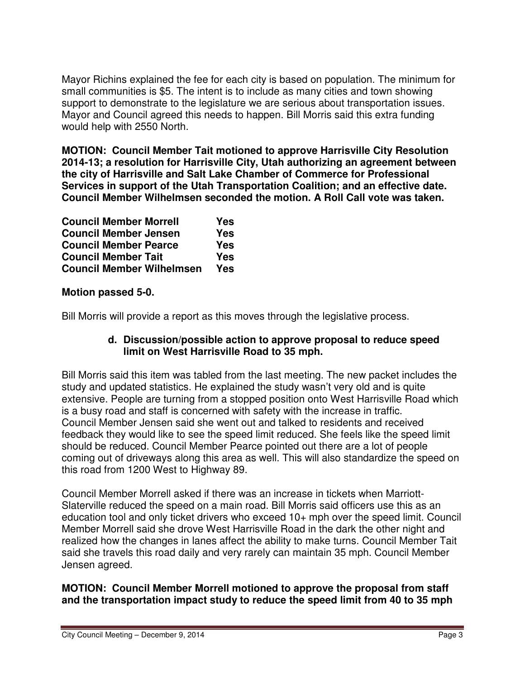Mayor Richins explained the fee for each city is based on population. The minimum for small communities is \$5. The intent is to include as many cities and town showing support to demonstrate to the legislature we are serious about transportation issues. Mayor and Council agreed this needs to happen. Bill Morris said this extra funding would help with 2550 North.

**MOTION: Council Member Tait motioned to approve Harrisville City Resolution 2014-13; a resolution for Harrisville City, Utah authorizing an agreement between the city of Harrisville and Salt Lake Chamber of Commerce for Professional Services in support of the Utah Transportation Coalition; and an effective date. Council Member Wilhelmsen seconded the motion. A Roll Call vote was taken.** 

| <b>Council Member Morrell</b>    | Yes        |
|----------------------------------|------------|
| <b>Council Member Jensen</b>     | <b>Yes</b> |
| <b>Council Member Pearce</b>     | Yes        |
| <b>Council Member Tait</b>       | Yes        |
| <b>Council Member Wilhelmsen</b> | Yes        |

# **Motion passed 5-0.**

Bill Morris will provide a report as this moves through the legislative process.

# **d. Discussion/possible action to approve proposal to reduce speed limit on West Harrisville Road to 35 mph.**

Bill Morris said this item was tabled from the last meeting. The new packet includes the study and updated statistics. He explained the study wasn't very old and is quite extensive. People are turning from a stopped position onto West Harrisville Road which is a busy road and staff is concerned with safety with the increase in traffic. Council Member Jensen said she went out and talked to residents and received feedback they would like to see the speed limit reduced. She feels like the speed limit should be reduced. Council Member Pearce pointed out there are a lot of people coming out of driveways along this area as well. This will also standardize the speed on this road from 1200 West to Highway 89.

Council Member Morrell asked if there was an increase in tickets when Marriott-Slaterville reduced the speed on a main road. Bill Morris said officers use this as an education tool and only ticket drivers who exceed 10+ mph over the speed limit. Council Member Morrell said she drove West Harrisville Road in the dark the other night and realized how the changes in lanes affect the ability to make turns. Council Member Tait said she travels this road daily and very rarely can maintain 35 mph. Council Member Jensen agreed.

# **MOTION: Council Member Morrell motioned to approve the proposal from staff and the transportation impact study to reduce the speed limit from 40 to 35 mph**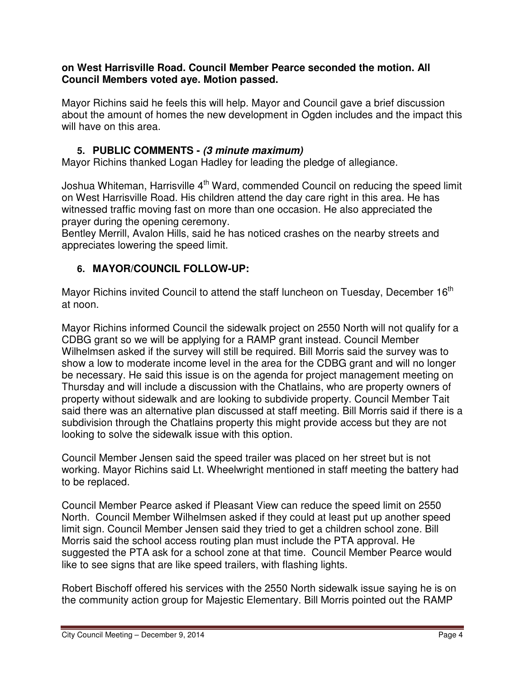# **on West Harrisville Road. Council Member Pearce seconded the motion. All Council Members voted aye. Motion passed.**

Mayor Richins said he feels this will help. Mayor and Council gave a brief discussion about the amount of homes the new development in Ogden includes and the impact this will have on this area.

# **5. PUBLIC COMMENTS - (3 minute maximum)**

Mayor Richins thanked Logan Hadley for leading the pledge of allegiance.

Joshua Whiteman, Harrisville 4<sup>th</sup> Ward, commended Council on reducing the speed limit on West Harrisville Road. His children attend the day care right in this area. He has witnessed traffic moving fast on more than one occasion. He also appreciated the prayer during the opening ceremony.

Bentley Merrill, Avalon Hills, said he has noticed crashes on the nearby streets and appreciates lowering the speed limit.

# **6. MAYOR/COUNCIL FOLLOW-UP:**

Mayor Richins invited Council to attend the staff luncheon on Tuesday, December 16<sup>th</sup> at noon.

Mayor Richins informed Council the sidewalk project on 2550 North will not qualify for a CDBG grant so we will be applying for a RAMP grant instead. Council Member Wilhelmsen asked if the survey will still be required. Bill Morris said the survey was to show a low to moderate income level in the area for the CDBG grant and will no longer be necessary. He said this issue is on the agenda for project management meeting on Thursday and will include a discussion with the Chatlains, who are property owners of property without sidewalk and are looking to subdivide property. Council Member Tait said there was an alternative plan discussed at staff meeting. Bill Morris said if there is a subdivision through the Chatlains property this might provide access but they are not looking to solve the sidewalk issue with this option.

Council Member Jensen said the speed trailer was placed on her street but is not working. Mayor Richins said Lt. Wheelwright mentioned in staff meeting the battery had to be replaced.

Council Member Pearce asked if Pleasant View can reduce the speed limit on 2550 North. Council Member Wilhelmsen asked if they could at least put up another speed limit sign. Council Member Jensen said they tried to get a children school zone. Bill Morris said the school access routing plan must include the PTA approval. He suggested the PTA ask for a school zone at that time. Council Member Pearce would like to see signs that are like speed trailers, with flashing lights.

Robert Bischoff offered his services with the 2550 North sidewalk issue saying he is on the community action group for Majestic Elementary. Bill Morris pointed out the RAMP